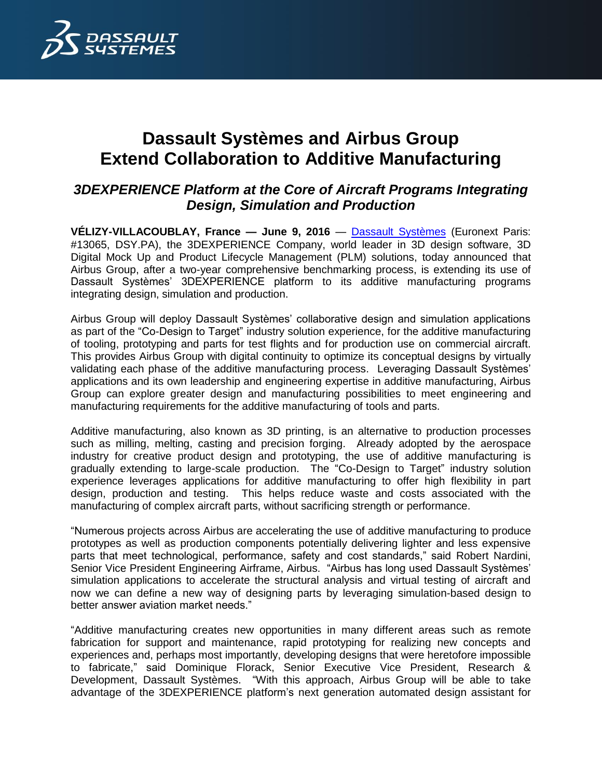

## **Dassault Systèmes and Airbus Group Extend Collaboration to Additive Manufacturing**

## *3DEXPERIENCE Platform at the Core of Aircraft Programs Integrating Design, Simulation and Production*

**VÉLIZY-VILLACOUBLAY, France — June 9, 2016** — [Dassault Systèmes](http://www.3ds.com/) (Euronext Paris: #13065, DSY.PA), the 3DEXPERIENCE Company, world leader in 3D design software, 3D Digital Mock Up and Product Lifecycle Management (PLM) solutions, today announced that Airbus Group, after a two-year comprehensive benchmarking process, is extending its use of Dassault Systèmes' 3DEXPERIENCE platform to its additive manufacturing programs integrating design, simulation and production.

Airbus Group will deploy Dassault Systèmes' collaborative design and simulation applications as part of the "Co-Design to Target" industry solution experience, for the additive manufacturing of tooling, prototyping and parts for test flights and for production use on commercial aircraft. This provides Airbus Group with digital continuity to optimize its conceptual designs by virtually validating each phase of the additive manufacturing process. Leveraging Dassault Systèmes' applications and its own leadership and engineering expertise in additive manufacturing, Airbus Group can explore greater design and manufacturing possibilities to meet engineering and manufacturing requirements for the additive manufacturing of tools and parts.

Additive manufacturing, also known as 3D printing, is an alternative to production processes such as milling, melting, casting and precision forging. Already adopted by the aerospace industry for creative product design and prototyping, the use of additive manufacturing is gradually extending to large-scale production. The "Co-Design to Target" industry solution experience leverages applications for additive manufacturing to offer high flexibility in part design, production and testing. This helps reduce waste and costs associated with the manufacturing of complex aircraft parts, without sacrificing strength or performance.

"Numerous projects across Airbus are accelerating the use of additive manufacturing to produce prototypes as well as production components potentially delivering lighter and less expensive parts that meet technological, performance, safety and cost standards," said Robert Nardini, Senior Vice President Engineering Airframe, Airbus. "Airbus has long used Dassault Systèmes' simulation applications to accelerate the structural analysis and virtual testing of aircraft and now we can define a new way of designing parts by leveraging simulation-based design to better answer aviation market needs."

"Additive manufacturing creates new opportunities in many different areas such as remote fabrication for support and maintenance, rapid prototyping for realizing new concepts and experiences and, perhaps most importantly, developing designs that were heretofore impossible to fabricate," said Dominique Florack, Senior Executive Vice President, Research & Development, Dassault Systèmes. "With this approach, Airbus Group will be able to take advantage of the 3DEXPERIENCE platform's next generation automated design assistant for